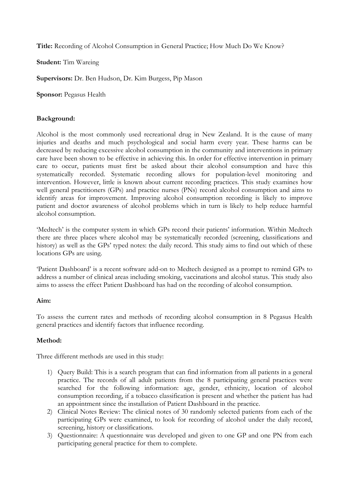**Title:** Recording of Alcohol Consumption in General Practice; How Much Do We Know?

**Student:** Tim Wareing

**Supervisors:** Dr. Ben Hudson, Dr. Kim Burgess, Pip Mason

**Sponsor: Pegasus Health** 

## **Background:**

Alcohol is the most commonly used recreational drug in New Zealand. It is the cause of many injuries and deaths and much psychological and social harm every year. These harms can be decreased by reducing excessive alcohol consumption in the community and interventions in primary care have been shown to be effective in achieving this. In order for effective intervention in primary care to occur, patients must first be asked about their alcohol consumption and have this systematically recorded. Systematic recording allows for population-level monitoring and intervention. However, little is known about current recording practices. This study examines how well general practitioners (GPs) and practice nurses (PNs) record alcohol consumption and aims to identify areas for improvement. Improving alcohol consumption recording is likely to improve patient and doctor awareness of alcohol problems which in turn is likely to help reduce harmful alcohol consumption.

'Medtech' is the computer system in which GPs record their patients' information. Within Medtech there are three places where alcohol may be systematically recorded (screening, classifications and history) as well as the GPs' typed notes: the daily record. This study aims to find out which of these locations GPs are using.

'Patient Dashboard' is a recent software add-on to Medtech designed as a prompt to remind GPs to address a number of clinical areas including smoking, vaccinations and alcohol status. This study also aims to assess the effect Patient Dashboard has had on the recording of alcohol consumption.

### **Aim:**

To assess the current rates and methods of recording alcohol consumption in 8 Pegasus Health general practices and identify factors that influence recording.

# **Method:**

Three different methods are used in this study:

- 1) Query Build: This is a search program that can find information from all patients in a general practice. The records of all adult patients from the 8 participating general practices were searched for the following information: age, gender, ethnicity, location of alcohol consumption recording, if a tobacco classification is present and whether the patient has had an appointment since the installation of Patient Dashboard in the practice.
- 2) Clinical Notes Review: The clinical notes of 30 randomly selected patients from each of the participating GPs were examined, to look for recording of alcohol under the daily record, screening, history or classifications.
- 3) Questionnaire: A questionnaire was developed and given to one GP and one PN from each participating general practice for them to complete.